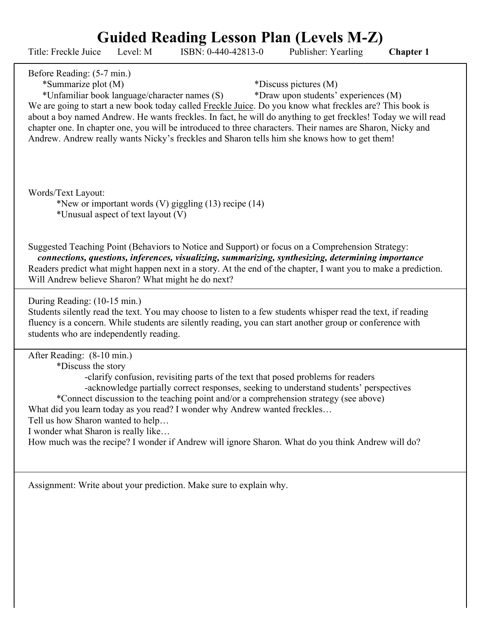**Guided Reading Lesson Plan (Levels M-Z)**

| Title: Freckle Juice                                                                                                         | Level: M                           | ISBN: 0-440-42813-0                                                                                                                                                                                                                                                                                                                                                                                                                                   | Publisher: Yearling                                           | <b>Chapter 1</b> |
|------------------------------------------------------------------------------------------------------------------------------|------------------------------------|-------------------------------------------------------------------------------------------------------------------------------------------------------------------------------------------------------------------------------------------------------------------------------------------------------------------------------------------------------------------------------------------------------------------------------------------------------|---------------------------------------------------------------|------------------|
| Before Reading: (5-7 min.)<br>*Summarize plot (M)<br>*Unfamiliar book language/character names (S)                           |                                    | We are going to start a new book today called Freckle Juice. Do you know what freckles are? This book is<br>about a boy named Andrew. He wants freckles. In fact, he will do anything to get freckles! Today we will read<br>chapter one. In chapter one, you will be introduced to three characters. Their names are Sharon, Nicky and<br>Andrew. Andrew really wants Nicky's freckles and Sharon tells him she knows how to get them!               | *Discuss pictures (M)<br>*Draw upon students' experiences (M) |                  |
| Words/Text Layout:                                                                                                           | *Unusual aspect of text layout (V) | *New or important words $(V)$ giggling $(13)$ recipe $(14)$                                                                                                                                                                                                                                                                                                                                                                                           |                                                               |                  |
| Will Andrew believe Sharon? What might he do next?                                                                           |                                    | Suggested Teaching Point (Behaviors to Notice and Support) or focus on a Comprehension Strategy:<br>connections, questions, inferences, visualizing, summarizing, synthesizing, determining importance<br>Readers predict what might happen next in a story. At the end of the chapter, I want you to make a prediction.                                                                                                                              |                                                               |                  |
| During Reading: (10-15 min.)<br>students who are independently reading.                                                      |                                    | Students silently read the text. You may choose to listen to a few students whisper read the text, if reading<br>fluency is a concern. While students are silently reading, you can start another group or conference with                                                                                                                                                                                                                            |                                                               |                  |
| After Reading: (8-10 min.)<br>*Discuss the story<br>Tell us how Sharon wanted to help<br>I wonder what Sharon is really like |                                    | -clarify confusion, revisiting parts of the text that posed problems for readers<br>-acknowledge partially correct responses, seeking to understand students' perspectives<br>*Connect discussion to the teaching point and/or a comprehension strategy (see above)<br>What did you learn today as you read? I wonder why Andrew wanted freckles<br>How much was the recipe? I wonder if Andrew will ignore Sharon. What do you think Andrew will do? |                                                               |                  |
|                                                                                                                              |                                    | Assignment: Write about your prediction. Make sure to explain why.                                                                                                                                                                                                                                                                                                                                                                                    |                                                               |                  |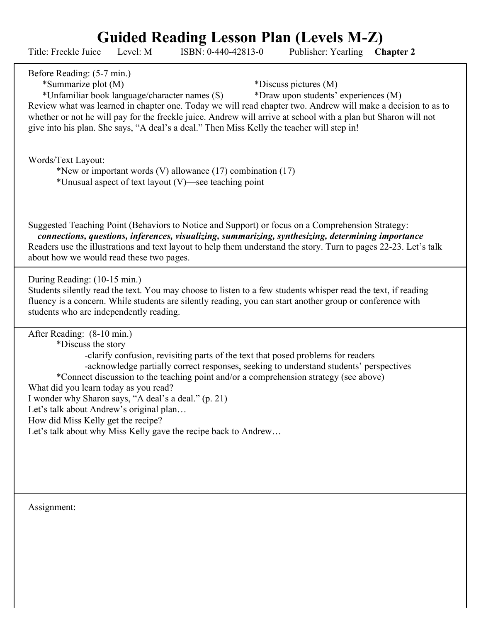## **Guided Reading Lesson Plan (Levels M-Z)**

| Guided Reading Lesson Plan (Levels M-Z)<br>Level: M<br>ISBN: 0-440-42813-0<br>Publisher: Yearling<br>Title: Freckle Juice<br><b>Chapter 2</b>                                                                                                                                                                                                                                                                                                                                                                                                                               |
|-----------------------------------------------------------------------------------------------------------------------------------------------------------------------------------------------------------------------------------------------------------------------------------------------------------------------------------------------------------------------------------------------------------------------------------------------------------------------------------------------------------------------------------------------------------------------------|
| Before Reading: (5-7 min.)<br>*Summarize plot (M)<br>*Discuss pictures (M)<br>*Unfamiliar book language/character names (S)<br>*Draw upon students' experiences (M)<br>Review what was learned in chapter one. Today we will read chapter two. Andrew will make a decision to as to<br>whether or not he will pay for the freckle juice. Andrew will arrive at school with a plan but Sharon will not<br>give into his plan. She says, "A deal's a deal." Then Miss Kelly the teacher will step in!                                                                         |
| Words/Text Layout:<br>*New or important words (V) allowance $(17)$ combination $(17)$<br>*Unusual aspect of text layout (V)—see teaching point                                                                                                                                                                                                                                                                                                                                                                                                                              |
| Suggested Teaching Point (Behaviors to Notice and Support) or focus on a Comprehension Strategy:<br>connections, questions, inferences, visualizing, summarizing, synthesizing, determining importance<br>Readers use the illustrations and text layout to help them understand the story. Turn to pages 22-23. Let's talk<br>about how we would read these two pages.                                                                                                                                                                                                      |
| During Reading: (10-15 min.)<br>Students silently read the text. You may choose to listen to a few students whisper read the text, if reading<br>fluency is a concern. While students are silently reading, you can start another group or conference with<br>students who are independently reading.                                                                                                                                                                                                                                                                       |
| After Reading: (8-10 min.)<br>*Discuss the story<br>-clarify confusion, revisiting parts of the text that posed problems for readers<br>-acknowledge partially correct responses, seeking to understand students' perspectives<br>*Connect discussion to the teaching point and/or a comprehension strategy (see above)<br>What did you learn today as you read?<br>I wonder why Sharon says, "A deal's a deal." (p. 21)<br>Let's talk about Andrew's original plan<br>How did Miss Kelly get the recipe?<br>Let's talk about why Miss Kelly gave the recipe back to Andrew |
| Assignment:                                                                                                                                                                                                                                                                                                                                                                                                                                                                                                                                                                 |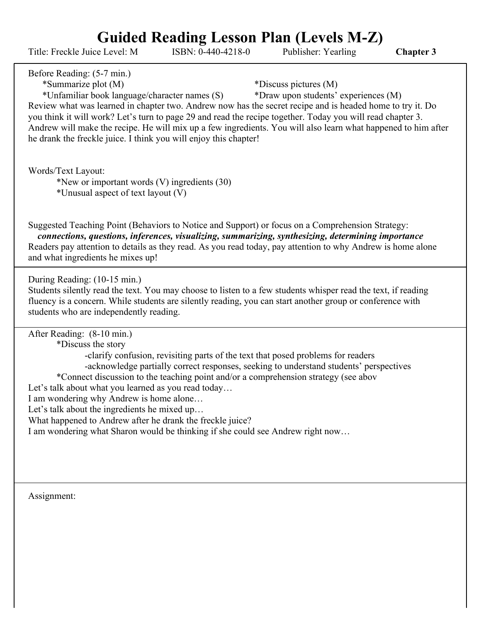## **Guided Reading Lesson Plan (Levels M-Z)**

Title: Freckle Juice Level: M ISBN: 0-440-4218-0 Publisher: Yearling **Chapter 3**

Before Reading: (5-7 min.)

## \*Summarize plot (M) \*Discuss pictures (M)

\*Unfamiliar book language/character names (S) \*Draw upon students' experiences (M)

Review what was learned in chapter two. Andrew now has the secret recipe and is headed home to try it. Do you think it will work? Let's turn to page 29 and read the recipe together. Today you will read chapter 3. Andrew will make the recipe. He will mix up a few ingredients. You will also learn what happened to him after he drank the freckle juice. I think you will enjoy this chapter!

Words/Text Layout:

\*New or important words (V) ingredients (30) \*Unusual aspect of text layout (V)

Suggested Teaching Point (Behaviors to Notice and Support) or focus on a Comprehension Strategy: *connections, questions, inferences, visualizing, summarizing, synthesizing, determining importance* Readers pay attention to details as they read. As you read today, pay attention to why Andrew is home alone and what ingredients he mixes up!

During Reading: (10-15 min.)

Students silently read the text. You may choose to listen to a few students whisper read the text, if reading fluency is a concern. While students are silently reading, you can start another group or conference with students who are independently reading.

After Reading: (8-10 min.)

\*Discuss the story

-clarify confusion, revisiting parts of the text that posed problems for readers -acknowledge partially correct responses, seeking to understand students' perspectives

\*Connect discussion to the teaching point and/or a comprehension strategy (see abov

Let's talk about what you learned as you read today...

I am wondering why Andrew is home alone…

Let's talk about the ingredients he mixed up...

What happened to Andrew after he drank the freckle juice?

I am wondering what Sharon would be thinking if she could see Andrew right now…

Assignment: